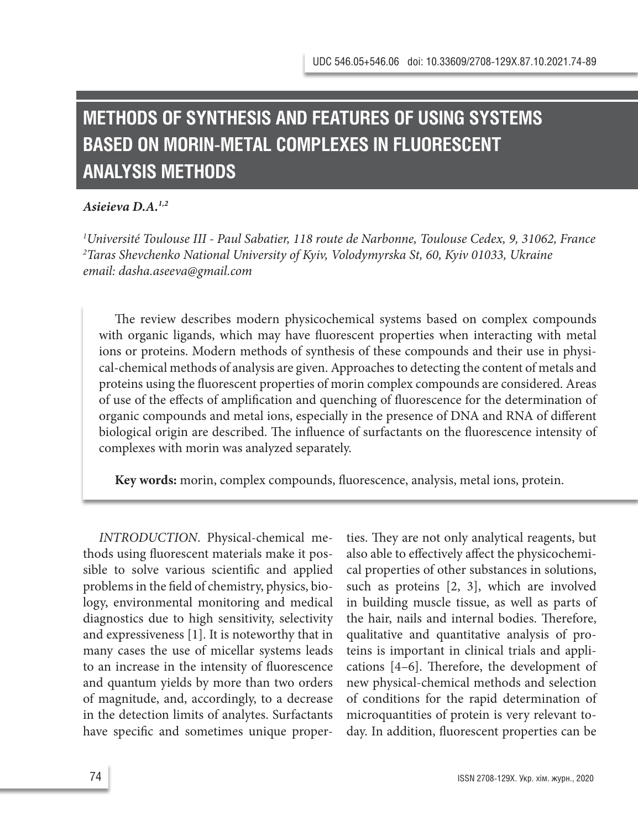# **METHODS OF SYNTHESIS AND FEATURES OF USING SYSTEMS BASED ON MORIN-METAL COMPLEXES IN FLUORESCENT ANALYSIS METHODS**

### *Asieieva D.A.1,2*

*1 Université Toulouse III - Paul Sabatier, 118 route de Narbonne, Toulouse Cedex, 9, 31062, France 2 Taras Shevchenko National University of Kyiv, Volodymyrska St, 60, Kyiv 01033, Ukraine email: dasha.aseeva@gmail.com*

The review describes modern physicochemical systems based on complex compounds with organic ligands, which may have fluorescent properties when interacting with metal ions or proteins. Modern methods of synthesis of these compounds and their use in physical-chemical methods of analysis are given. Approaches to detecting the content of metals and proteins using the fluorescent properties of morin complex compounds are considered. Areas of use of the effects of amplification and quenching of fluorescence for the determination of organic compounds and metal ions, especially in the presence of DNA and RNA of different biological origin are described. The influence of surfactants on the fluorescence intensity of complexes with morin was analyzed separately.

**Key words:** morin, complex compounds, fluorescence, analysis, metal ions, protein.

*INTRODUCTION*. Physical-chemical methods using fluorescent materials make it possible to solve various scientific and applied problems in the field of chemistry, physics, biology, environmental monitoring and medical diagnostics due to high sensitivity, selectivity and expressiveness [1]. It is noteworthy that in many cases the use of micellar systems leads to an increase in the intensity of fluorescence and quantum yields by more than two orders of magnitude, and, accordingly, to a decrease in the detection limits of analytes. Surfactants have specific and sometimes unique proper-

ties. They are not only analytical reagents, but also able to effectively affect the physicochemical properties of other substances in solutions, such as proteins [2, 3], which are involved in building muscle tissue, as well as parts of the hair, nails and internal bodies. Therefore, qualitative and quantitative analysis of proteins is important in clinical trials and applications [4–6]. Therefore, the development of new physical-chemical methods and selection of conditions for the rapid determination of microquantities of protein is very relevant today. In addition, fluorescent properties can be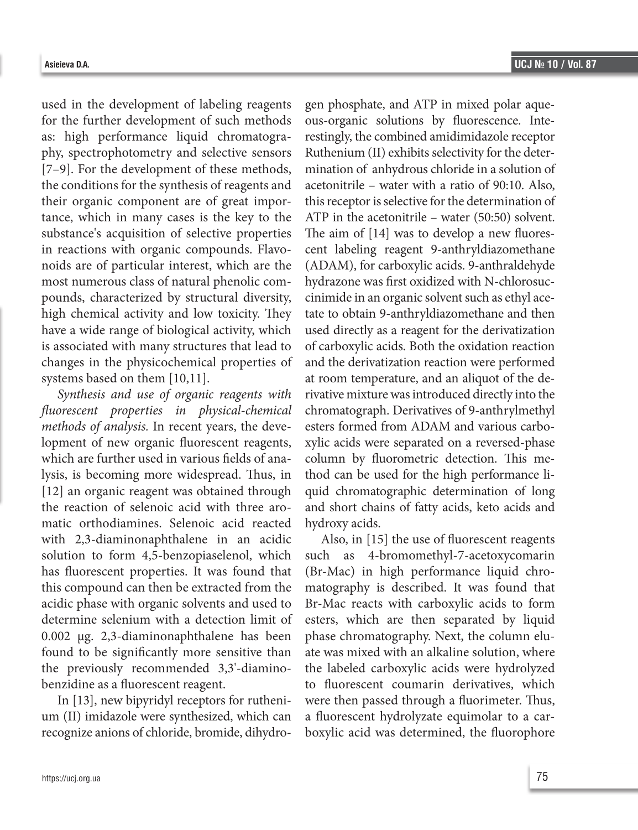used in the development of labeling reagents for the further development of such methods as: high performance liquid chromatography, spectrophotometry and selective sensors [7–9]. For the development of these methods, the conditions for the synthesis of reagents and their organic component are of great importance, which in many cases is the key to the substance's acquisition of selective properties in reactions with organic compounds. Flavonoids are of particular interest, which are the most numerous class of natural phenolic compounds, characterized by structural diversity, high chemical activity and low toxicity. They have a wide range of biological activity, which is associated with many structures that lead to changes in the physicochemical properties of systems based on them [10,11].

*Synthesis and use of organic reagents with fluorescent properties in physical-chemical methods of analysis.* In recent years, the development of new organic fluorescent reagents, which are further used in various fields of analysis, is becoming more widespread. Thus, in [12] an organic reagent was obtained through the reaction of selenoic acid with three aromatic orthodiamines. Selenoic acid reacted with 2,3-diaminonaphthalene in an acidic solution to form 4,5-benzopiaselenol, which has fluorescent properties. It was found that this compound can then be extracted from the acidic phase with organic solvents and used to determine selenium with a detection limit of 0.002 μg. 2,3-diaminonaphthalene has been found to be significantly more sensitive than the previously recommended 3,3'-diaminobenzidine as a fluorescent reagent.

In [13], new bipyridyl receptors for ruthenium (II) imidazole were synthesized, which can recognize anions of chloride, bromide, dihydrogen phosphate, and ATP in mixed polar aqueous-organic solutions by fluorescence. Interestingly, the combined amidimidazole receptor Ruthenium (II) exhibits selectivity for the determination of anhydrous chloride in a solution of acetonitrile – water with a ratio of 90:10. Also, this receptor is selective for the determination of ATP in the acetonitrile – water (50:50) solvent. The aim of [14] was to develop a new fluorescent labeling reagent 9-anthryldiazomethane (ADAM), for carboxylic acids. 9-anthraldehyde hydrazone was first oxidized with N-chlorosuccinimide in an organic solvent such as ethyl acetate to obtain 9-anthryldiazomethane and then used directly as a reagent for the derivatization of carboxylic acids. Both the oxidation reaction and the derivatization reaction were performed at room temperature, and an aliquot of the derivative mixture was introduced directly into the chromatograph. Derivatives of 9-anthrylmethyl esters formed from ADAM and various carboxylic acids were separated on a reversed-phase column by fluorometric detection. This method can be used for the high performance liquid chromatographic determination of long and short chains of fatty acids, keto acids and hydroxy acids.

Also, in [15] the use of fluorescent reagents such as 4-bromomethyl-7-acetoxycomarin (Br-Mac) in high performance liquid chromatography is described. It was found that Br-Mac reacts with carboxylic acids to form esters, which are then separated by liquid phase chromatography. Next, the column eluate was mixed with an alkaline solution, where the labeled carboxylic acids were hydrolyzed to fluorescent coumarin derivatives, which were then passed through a fluorimeter. Thus, a fluorescent hydrolyzate equimolar to a carboxylic acid was determined, the fluorophore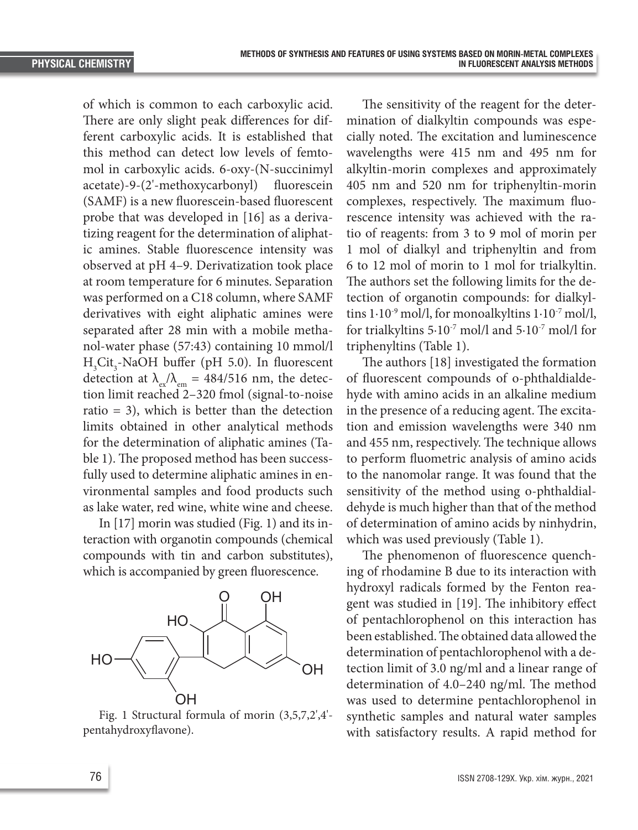of which is common to each carboxylic acid. There are only slight peak differences for different carboxylic acids. It is established that this method can detect low levels of femtomol in carboxylic acids. 6-oxy-(N-succinimyl acetate)-9-(2'-methoxycarbonyl) fluorescein (SAMF) is a new fluorescein-based fluorescent probe that was developed in [16] as a derivatizing reagent for the determination of aliphatic amines. Stable fluorescence intensity was observed at pH 4–9. Derivatization took place at room temperature for 6 minutes. Separation was performed on a C18 column, where SAMF derivatives with eight aliphatic amines were separated after 28 min with a mobile methanol-water phase (57:43) containing 10 mmol/l  $H<sub>3</sub>Cit<sub>3</sub>$ -NaOH buffer (pH 5.0). In fluorescent detection at  $\lambda_{\rm ex}/\lambda_{\rm em} = 484/516$  nm, the detection limit reached 2–320 fmol (signal-to-noise ratio = 3), which is better than the detection limits obtained in other analytical methods for the determination of aliphatic amines (Table 1). The proposed method has been successfully used to determine aliphatic amines in environmental samples and food products such as lake water, red wine, white wine and cheese.

In [17] morin was studied (Fig. 1) and its interaction with organotin compounds (chemical compounds with tin and carbon substitutes), which is accompanied by green fluorescence.



Fig. 1 Structural formula of morin (3,5,7,2',4'- sy pentahydroxyflavone).

The sensitivity of the reagent for the determination of dialkyltin compounds was especially noted. The excitation and luminescence wavelengths were 415 nm and 495 nm for alkyltin-morin complexes and approximately 405 nm and 520 nm for triphenyltin-morin complexes, respectively. The maximum fluorescence intensity was achieved with the ratio of reagents: from 3 to 9 mol of morin per 1 mol of dialkyl and triphenyltin and from 6 to 12 mol of morin to 1 mol for trialkyltin. The authors set the following limits for the detection of organotin compounds: for dialkyltins  $1.10^{-9}$  mol/l, for monoalkyltins  $1.10^{-7}$  mol/l, for trialkyltins  $5.10^{-7}$  mol/l and  $5.10^{-7}$  mol/l for triphenyltins (Table 1).

The authors [18] investigated the formation of fluorescent compounds of o-phthaldialdehyde with amino acids in an alkaline medium in the presence of a reducing agent. The excitation and emission wavelengths were 340 nm and 455 nm, respectively. The technique allows to perform fluometric analysis of amino acids to the nanomolar range. It was found that the sensitivity of the method using o-phthaldialdehyde is much higher than that of the method of determination of amino acids by ninhydrin, which was used previously (Table 1).

The phenomenon of fluorescence quenching of rhodamine B due to its interaction with hydroxyl radicals formed by the Fenton reagent was studied in [19]. The inhibitory effect of pentachlorophenol on this interaction has been established. The obtained data allowed the determination of pentachlorophenol with a detection limit of 3.0 ng/ml and a linear range of determination of 4.0–240 ng/ml. The method was used to determine pentachlorophenol in synthetic samples and natural water samples with satisfactory results. A rapid method for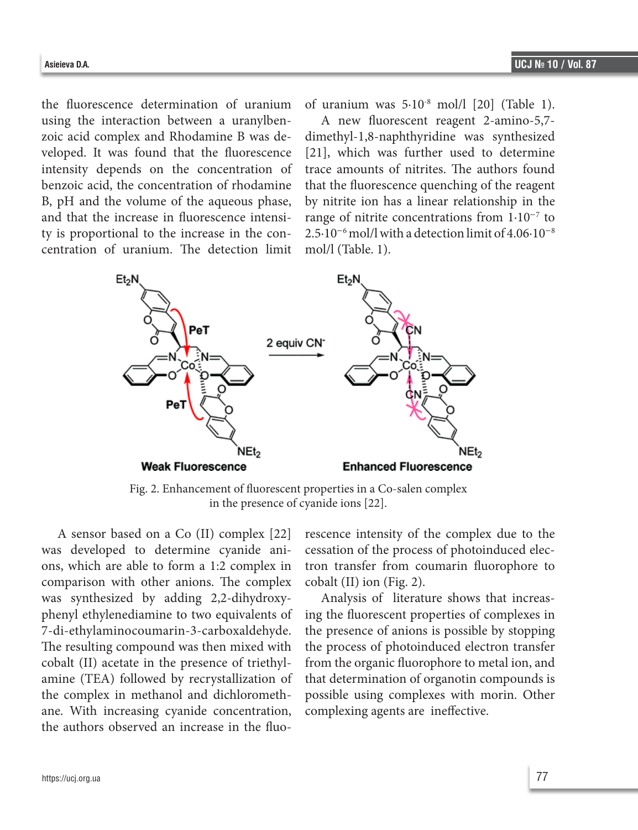the fluorescence determination of uranium using the interaction between a uranylbenzoic acid complex and Rhodamine B was developed. It was found that the fluorescence intensity depends on the concentration of benzoic acid, the concentration of rhodamine B, pH and the volume of the aqueous phase, and that the increase in fluorescence intensity is proportional to the increase in the concentration of uranium. The detection limit of uranium was 5·10-8 mol/l [20] (Table 1).

A new fluorescent reagent 2-amino-5,7 dimethyl-1,8-naphthyridine was synthesized [21], which was further used to determine trace amounts of nitrites. The authors found that the fluorescence quenching of the reagent by nitrite ion has a linear relationship in the range of nitrite concentrations from 1·10−<sup>7</sup> to  $2.5·10<sup>-6</sup>$  mol/l with a detection limit of  $4.06·10<sup>-8</sup>$ mol/l (Table. 1).



Fig. 2. Enhancement of fluorescent properties in a Co-salen complex in the presence of cyanide ions [22].

A sensor based on a Co (II) complex [22] was developed to determine cyanide anions, which are able to form a 1:2 complex in comparison with other anions. The complex was synthesized by adding 2,2-dihydroxyphenyl ethylenediamine to two equivalents of 7-di-ethylaminocoumarin-3-carboxaldehyde. The resulting compound was then mixed with cobalt (II) acetate in the presence of triethylamine (TEA) followed by recrystallization of the complex in methanol and dichloromethane. With increasing cyanide concentration, the authors observed an increase in the fluorescence intensity of the complex due to the cessation of the process of photoinduced electron transfer from coumarin fluorophore to cobalt (II) ion (Fig. 2).

Analysis of literature shows that increasing the fluorescent properties of complexes in the presence of anions is possible by stopping the process of photoinduced electron transfer from the organic fluorophore to metal ion, and that determination of organotin compounds is possible using complexes with morin. Other complexing agents are ineffective.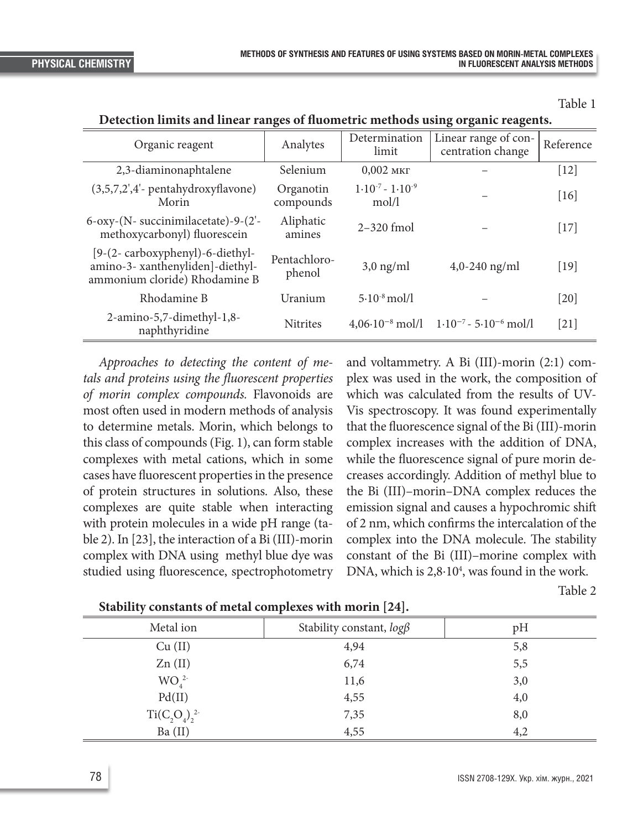Table 1

| Organic reagent                                                                                      | Analytes               | Determination<br>limit           | Linear range of con-<br>centration change                         | Reference         |
|------------------------------------------------------------------------------------------------------|------------------------|----------------------------------|-------------------------------------------------------------------|-------------------|
| 2,3-diaminonaphtalene                                                                                | Selenium               | $0,002$ MKT                      |                                                                   | $[12]$            |
| $(3,5,7,2',4'$ - pentahydroxyflavone)<br>Morin                                                       | Organotin<br>compounds | $1.10^{-7} - 1.10^{-9}$<br>mol/l |                                                                   | [16]              |
| $6$ -oxy-(N- succinimilacetate)-9-(2'-<br>methoxycarbonyl) fluorescein                               | Aliphatic<br>amines    | $2 - 320$ fmol                   |                                                                   | $[17]$            |
| [9-(2-carboxyphenyl)-6-diethyl-<br>amino-3- xanthenyliden]-diethyl-<br>ammonium cloride) Rhodamine B | Pentachloro-<br>phenol | $3,0$ ng/ml                      | $4,0-240$ ng/ml                                                   | [19]              |
| Rhodamine B                                                                                          | Uranium                | $5.10^{-8}$ mol/l                |                                                                   | $\left[20\right]$ |
| 2-amino-5,7-dimethyl-1,8-<br>naphthyridine                                                           | <b>Nitrites</b>        |                                  | $4,06\cdot10^{-8}$ mol/l $1\cdot10^{-7}$ - 5 $\cdot10^{-6}$ mol/l | $\left[21\right]$ |

**Detection limits and linear ranges of fluometric methods using organic reagents.**

*Approaches to detecting the content of metals and proteins using the fluorescent properties of morin complex compounds.* Flavonoids are most often used in modern methods of analysis to determine metals. Morin, which belongs to this class of compounds (Fig. 1), can form stable complexes with metal cations, which in some cases have fluorescent properties in the presence of protein structures in solutions. Also, these complexes are quite stable when interacting with protein molecules in a wide pH range (table 2). In [23], the interaction of a Bi (III)-morin complex with DNA using methyl blue dye was studied using fluorescence, spectrophotometry and voltammetry. A Bi (III)-morin (2:1) complex was used in the work, the composition of which was calculated from the results of UV-Vis spectroscopy. It was found experimentally that the fluorescence signal of the Bi (III)-morin complex increases with the addition of DNA, while the fluorescence signal of pure morin decreases accordingly. Addition of methyl blue to the Bi (III)–morin–DNA complex reduces the emission signal and causes a hypochromic shift of 2 nm, which confirms the intercalation of the complex into the DNA molecule. The stability constant of the Bi (III)–morine complex with DNA, which is 2,8⋅10<sup>4</sup>, was found in the work.

Table 2

| Metal ion                    | Stability constant, $log\beta$ | pH  |
|------------------------------|--------------------------------|-----|
| Cu (II)                      | 4,94                           | 5,8 |
| Zn(II)                       | 6,74                           | 5,5 |
| WO <sub>4</sub> <sup>2</sup> | 11,6                           | 3,0 |
| Pd(II)                       | 4,55                           | 4,0 |
| $Ti(C_2O_4)_2^{2}$           | 7,35                           | 8,0 |
| Ba (II)                      | 4,55                           | 4,2 |

**Stability constants of metal complexes with morin [24].**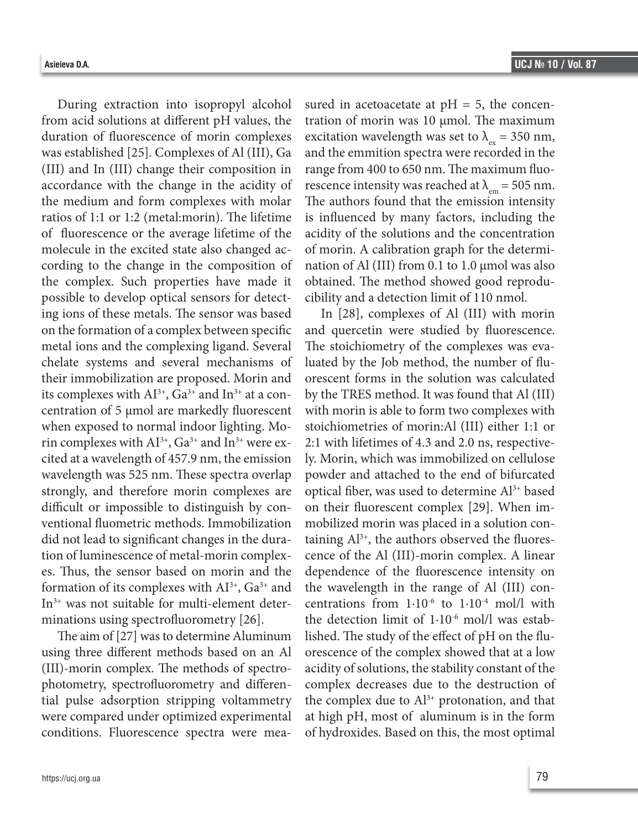During extraction into isopropyl alcohol from acid solutions at different pH values, the duration of fluorescence of morin complexes was established [25]. Complexes of Al (III), Ga (III) and In (III) change their composition in accordance with the change in the acidity of the medium and form complexes with molar ratios of 1:1 or 1:2 (metal:morin). The lifetime of fluorescence or the average lifetime of the molecule in the excited state also changed according to the change in the composition of the complex. Such properties have made it possible to develop optical sensors for detecting ions of these metals. The sensor was based on the formation of a complex between specific metal ions and the complexing ligand. Several chelate systems and several mechanisms of their immobilization are proposed. Morin and its complexes with  $AI^{3+}$ ,  $Ga^{3+}$  and  $In^{3+}$  at a concentration of 5 μmol are markedly fluorescent when exposed to normal indoor lighting. Morin complexes with  $Al^{3+}$ ,  $Ga^{3+}$  and  $In^{3+}$  were excited at a wavelength of 457.9 nm, the emission wavelength was 525 nm. These spectra overlap strongly, and therefore morin complexes are difficult or impossible to distinguish by conventional fluometric methods. Immobilization

did not lead to significant changes in the duration of luminescence of metal-morin complexes. Thus, the sensor based on morin and the formation of its complexes with  $AI^{3+}$ ,  $Ga^{3+}$  and In3+ was not suitable for multi-element determinations using spectrofluorometry [26].

The aim of [27] was to determine Aluminum using three different methods based on an Al (III)-morin complex. The methods of spectrophotometry, spectrofluorometry and differential pulse adsorption stripping voltammetry were compared under optimized experimental conditions. Fluorescence spectra were measured in acetoacetate at  $pH = 5$ , the concentration of morin was 10 μmol. The maximum excitation wavelength was set to  $\lambda_{ex} = 350$  nm, and the emmition spectra were recorded in the range from 400 to 650 nm. The maximum fluorescence intensity was reached at  $\lambda_{em} = 505$  nm. The authors found that the emission intensity is influenced by many factors, including the acidity of the solutions and the concentration of morin. A calibration graph for the determination of Al (III) from 0.1 to 1.0 μmol was also obtained. The method showed good reproducibility and a detection limit of 110 nmol.

In [28], complexes of Al (III) with morin and quercetin were studied by fluorescence. The stoichiometry of the complexes was evaluated by the Job method, the number of fluorescent forms in the solution was calculated by the TRES method. It was found that Al (III) with morin is able to form two complexes with stoichiometries of morin:Al (III) either 1:1 or 2:1 with lifetimes of 4.3 and 2.0 ns, respectively. Morin, which was immobilized on cellulose powder and attached to the end of bifurcated optical fiber, was used to determine Al3+ based on their fluorescent complex [29]. When immobilized morin was placed in a solution containing  $Al^{3+}$ , the authors observed the fluorescence of the Al (III)-morin complex. A linear dependence of the fluorescence intensity on the wavelength in the range of Al (III) concentrations from  $1.10^{-6}$  to  $1.10^{-4}$  mol/l with the detection limit of  $1.10^{-6}$  mol/l was established. The study of the effect of pH on the fluorescence of the complex showed that at a low acidity of solutions, the stability constant of the complex decreases due to the destruction of the complex due to  $Al^{3+}$  protonation, and that at high pH, most of aluminum is in the form of hydroxides. Based on this, the most optimal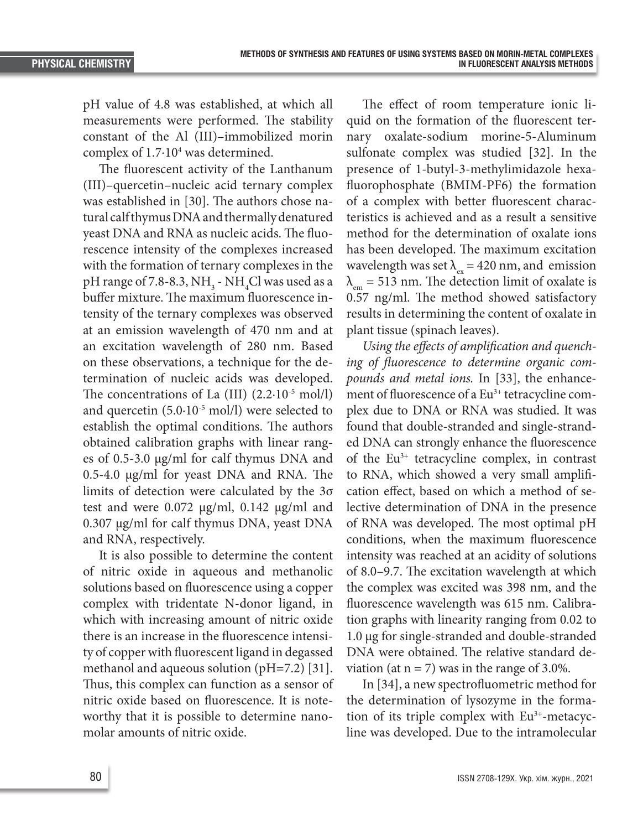pH value of 4.8 was established, at which all measurements were performed. The stability constant of the Al (III)–immobilized morin complex of 1.7⋅10<sup>4</sup> was determined.

The fluorescent activity of the Lanthanum (III)–quercetin–nucleic acid ternary complex was established in [30]. The authors chose natural calf thymus DNA and thermally denatured yeast DNA and RNA as nucleic acids. The fluorescence intensity of the complexes increased with the formation of ternary complexes in the pH range of 7.8-8.3,  $\rm NH_{_3}$  -  $\rm NH_{_4}Cl$  was used as a buffer mixture. The maximum fluorescence intensity of the ternary complexes was observed at an emission wavelength of 470 nm and at an excitation wavelength of 280 nm. Based on these observations, a technique for the determination of nucleic acids was developed. The concentrations of La  $(III)$   $(2.2 \cdot 10^{-5} \text{ mol/l})$ and quercetin  $(5.0 \cdot 10^{-5} \text{ mol/l})$  were selected to establish the optimal conditions. The authors obtained calibration graphs with linear ranges of 0.5-3.0 μg/ml for calf thymus DNA and 0.5-4.0 μg/ml for yeast DNA and RNA. The limits of detection were calculated by the 3σ test and were 0.072 μg/ml, 0.142 μg/ml and 0.307 μg/ml for calf thymus DNA, yeast DNA and RNA, respectively.

It is also possible to determine the content of nitric oxide in aqueous and methanolic solutions based on fluorescence using a copper complex with tridentate N-donor ligand, in which with increasing amount of nitric oxide there is an increase in the fluorescence intensity of copper with fluorescent ligand in degassed methanol and aqueous solution (pH=7.2) [31]. Thus, this complex can function as a sensor of nitric oxide based on fluorescence. It is noteworthy that it is possible to determine nanomolar amounts of nitric oxide.

The effect of room temperature ionic liquid on the formation of the fluorescent ternary oxalate-sodium morine-5-Aluminum sulfonate complex was studied [32]. In the presence of 1-butyl-3-methylimidazole hexafluorophosphate (BMIM-PF6) the formation of a complex with better fluorescent characteristics is achieved and as a result a sensitive method for the determination of oxalate ions has been developed. The maximum excitation wavelength was set  $\lambda_{\infty}$  = 420 nm, and emission  $\lambda_{em}$  = 513 nm. The detection limit of oxalate is 0.57 ng/ml. The method showed satisfactory results in determining the content of oxalate in plant tissue (spinach leaves).

*Using the effects of amplification and quenching of fluorescence to determine organic compounds and metal ions.* In [33], the enhancement of fluorescence of a Eu<sup>3+</sup> tetracycline complex due to DNA or RNA was studied. It was found that double-stranded and single-stranded DNA can strongly enhance the fluorescence of the Eu3+ tetracycline complex, in contrast to RNA, which showed a very small amplification effect, based on which a method of selective determination of DNA in the presence of RNA was developed. The most optimal pH conditions, when the maximum fluorescence intensity was reached at an acidity of solutions of 8.0–9.7. The excitation wavelength at which the complex was excited was 398 nm, and the fluorescence wavelength was 615 nm. Calibration graphs with linearity ranging from 0.02 to 1.0 μg for single-stranded and double-stranded DNA were obtained. The relative standard deviation (at  $n = 7$ ) was in the range of 3.0%.

In [34], a new spectrofluometric method for the determination of lysozyme in the formation of its triple complex with Eu<sup>3+</sup>-metacycline was developed. Due to the intramolecular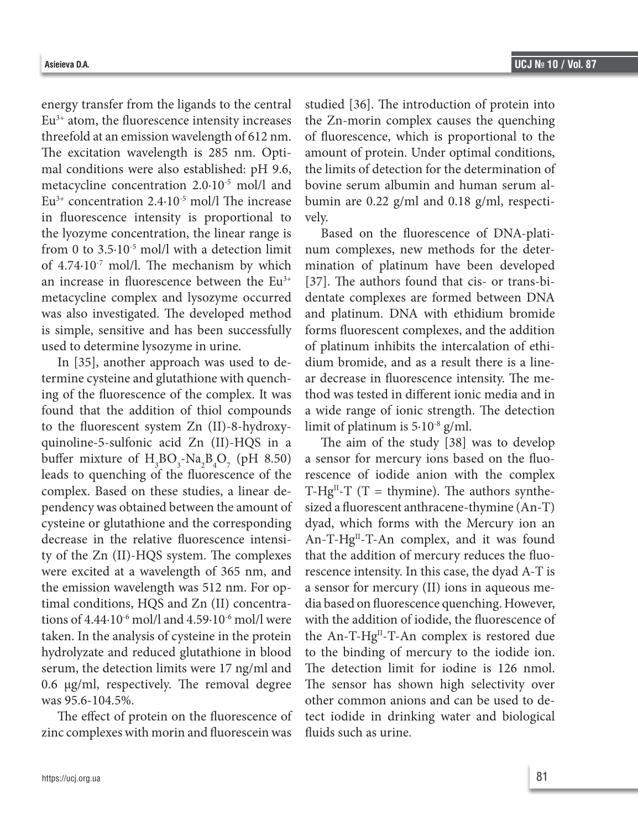energy transfer from the ligands to the central  $Eu<sup>3+</sup>$  atom, the fluorescence intensity increases threefold at an emission wavelength of 612 nm. The excitation wavelength is 285 nm. Optimal conditions were also established: pH 9.6, metacycline concentration 2.0·10-5 mol/l and  $Eu<sup>3+</sup> concentration 2.4·10<sup>-5</sup> mol/l$  The increase in fluorescence intensity is proportional to the lyozyme concentration, the linear range is from 0 to 3.5 $\cdot$ 10<sup>-5</sup> mol/l with a detection limit of  $4.74 \cdot 10^{-7}$  mol/l. The mechanism by which an increase in fluorescence between the  $Eu^{3+}$ metacycline complex and lysozyme occurred was also investigated. The developed method is simple, sensitive and has been successfully used to determine lysozyme in urine.

In [35], another approach was used to determine cysteine and glutathione with quenching of the fluorescence of the complex. It was found that the addition of thiol compounds to the fluorescent system Zn (II)-8-hydroxyquinoline-5-sulfonic acid Zn (II)-HQS in a buffer mixture of  $H_3BO_3-Na_2B_4O_7$  (pH 8.50) leads to quenching of the fluorescence of the complex. Based on these studies, a linear dependency was obtained between the amount of cysteine or glutathione and the corresponding decrease in the relative fluorescence intensity of the Zn (II)-HQS system. The complexes were excited at a wavelength of 365 nm, and the emission wavelength was 512 nm. For optimal conditions, HQS and Zn (II) concentrations of 4.44·10-6 mol/l and 4.59·10-6 mol/l were taken. In the analysis of cysteine in the protein hydrolyzate and reduced glutathione in blood serum, the detection limits were 17 ng/ml and 0.6 μg/ml, respectively. The removal degree was 95.6-104.5%.

The effect of protein on the fluorescence of zinc complexes with morin and fluorescein was

studied [36]. The introduction of protein into the Zn-morin complex causes the quenching of fluorescence, which is proportional to the amount of protein. Under optimal conditions, the limits of detection for the determination of bovine serum albumin and human serum albumin are 0.22 g/ml and 0.18 g/ml, respectively.

Based on the fluorescence of DNA-platinum complexes, new methods for the determination of platinum have been developed [37]. The authors found that cis- or trans-bidentate complexes are formed between DNA and platinum. DNA with ethidium bromide forms fluorescent complexes, and the addition of platinum inhibits the intercalation of ethidium bromide, and as a result there is a linear decrease in fluorescence intensity. The method was tested in different ionic media and in a wide range of ionic strength. The detection limit of platinum is 5·10-8 g/ml.

The aim of the study [38] was to develop a sensor for mercury ions based on the fluorescence of iodide anion with the complex T-Hg<sup>II</sup>-T (T = thymine). The authors synthesized a fluorescent anthracene-thymine (An-T) dyad, which forms with the Mercury ion an An-T-Hg<sup>II</sup>-T-An complex, and it was found that the addition of mercury reduces the fluorescence intensity. In this case, the dyad A-T is a sensor for mercury (II) ions in aqueous media based on fluorescence quenching. However, with the addition of iodide, the fluorescence of the An-T-Hg<sup>II</sup>-T-An complex is restored due to the binding of mercury to the iodide ion. The detection limit for iodine is 126 nmol. The sensor has shown high selectivity over other common anions and can be used to detect iodide in drinking water and biological fluids such as urine.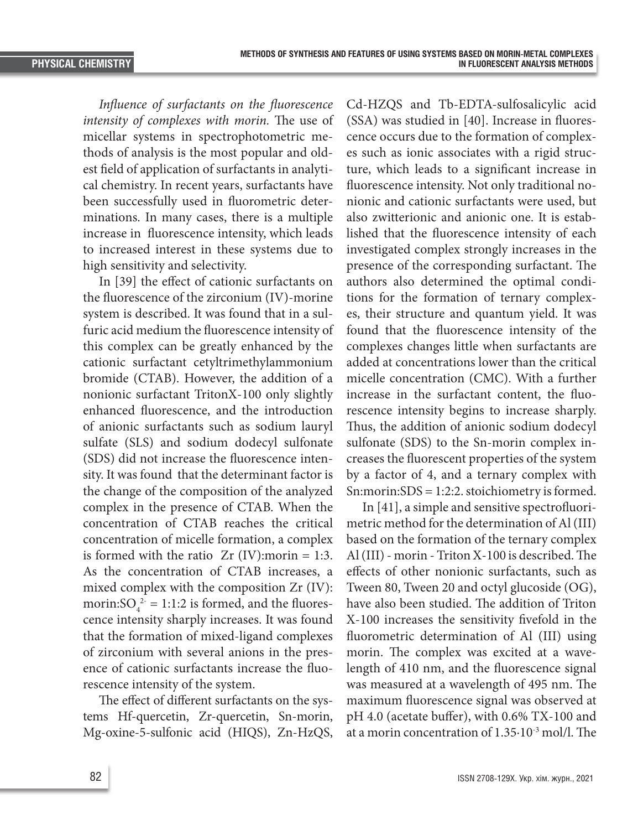*Influence of surfactants on the fluorescence intensity of complexes with morin.* The use of micellar systems in spectrophotometric methods of analysis is the most popular and oldest field of application of surfactants in analytical chemistry. In recent years, surfactants have been successfully used in fluorometric determinations. In many cases, there is a multiple increase in fluorescence intensity, which leads to increased interest in these systems due to high sensitivity and selectivity.

In [39] the effect of cationic surfactants on the fluorescence of the zirconium (IV)-morine system is described. It was found that in a sulfuric acid medium the fluorescence intensity of this complex can be greatly enhanced by the cationic surfactant cetyltrimethylammonium bromide (CTAB). However, the addition of a nonionic surfactant TritonX-100 only slightly enhanced fluorescence, and the introduction of anionic surfactants such as sodium lauryl sulfate (SLS) and sodium dodecyl sulfonate (SDS) did not increase the fluorescence intensity. It was found that the determinant factor is the change of the composition of the analyzed complex in the presence of CTAB. When the concentration of CTAB reaches the critical concentration of micelle formation, a complex is formed with the ratio  $Zr$  (IV): morin = 1:3. As the concentration of CTAB increases, a mixed complex with the composition Zr (IV): morin: $SO_4^{2} = 1:1:2$  is formed, and the fluorescence intensity sharply increases. It was found that the formation of mixed-ligand complexes of zirconium with several anions in the presence of cationic surfactants increase the fluorescence intensity of the system.

The effect of different surfactants on the systems Hf-quercetin, Zr-quercetin, Sn-morin, Mg-oxine-5-sulfonic acid (HIQS), Zn-HzQS,

Cd-HZQS and Tb-EDTA-sulfosalicylic acid (SSA) was studied in [40]. Increase in fluorescence occurs due to the formation of complexes such as ionic associates with a rigid structure, which leads to a significant increase in fluorescence intensity. Not only traditional nonionic and cationic surfactants were used, but also zwitterionic and anionic one. It is established that the fluorescence intensity of each investigated complex strongly increases in the presence of the corresponding surfactant. The authors also determined the optimal conditions for the formation of ternary complexes, their structure and quantum yield. It was found that the fluorescence intensity of the complexes changes little when surfactants are added at concentrations lower than the critical micelle concentration (CMC). With a further increase in the surfactant content, the fluorescence intensity begins to increase sharply. Thus, the addition of anionic sodium dodecyl sulfonate (SDS) to the Sn-morin complex increases the fluorescent properties of the system by a factor of 4, and a ternary complex with Sn:morin:SDS = 1:2:2. stoichiometry is formed.

In [41], a simple and sensitive spectrofluorimetric method for the determination of Al (III) based on the formation of the ternary complex Al (III) - morin - Triton X-100 is described. The effects of other nonionic surfactants, such as Tween 80, Tween 20 and octyl glucoside (OG), have also been studied. The addition of Triton X-100 increases the sensitivity fivefold in the fluorometric determination of Al (III) using morin. The complex was excited at a wavelength of 410 nm, and the fluorescence signal was measured at a wavelength of 495 nm. The maximum fluorescence signal was observed at pH 4.0 (acetate buffer), with 0.6% TX-100 and at a morin concentration of 1.35·10-3 mol/l. The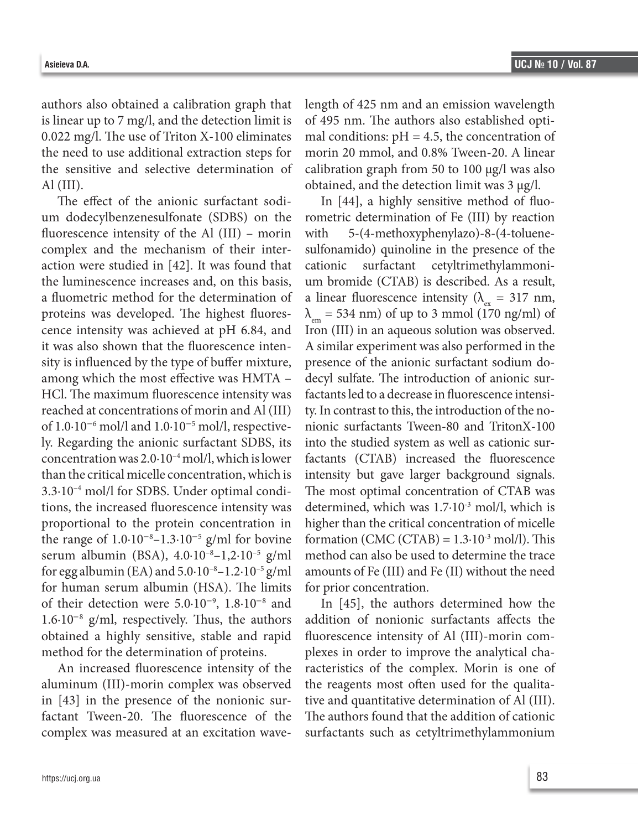authors also obtained a calibration graph that is linear up to 7 mg/l, and the detection limit is 0.022 mg/l. The use of Triton X-100 eliminates the need to use additional extraction steps for the sensitive and selective determination of Al (III).

The effect of the anionic surfactant sodium dodecylbenzenesulfonate (SDBS) on the fluorescence intensity of the Al (III) – morin complex and the mechanism of their interaction were studied in [42]. It was found that the luminescence increases and, on this basis, a fluometric method for the determination of proteins was developed. The highest fluorescence intensity was achieved at pH 6.84, and it was also shown that the fluorescence intensity is influenced by the type of buffer mixture, among which the most effective was HMTA – HCl. The maximum fluorescence intensity was reached at concentrations of morin and Al (III) of 1.0·10−<sup>6</sup> mol/l and 1.0·10−<sup>5</sup> mol/l, respectively. Regarding the anionic surfactant SDBS, its concentration was  $2.0 \cdot 10^{-4}$  mol/l, which is lower than the critical micelle concentration, which is 3.3·10–4 mol/l for SDBS. Under optimal conditions, the increased fluorescence intensity was proportional to the protein concentration in the range of  $1.0 \cdot 10^{-8} - 1.3 \cdot 10^{-5}$  g/ml for bovine serum albumin (BSA), 4.0·10–8–1,2·10–5 g/ml for egg albumin (EA) and  $5.0 \cdot 10^{-8} - 1.2 \cdot 10^{-5}$  g/ml for human serum albumin (HSA). The limits of their detection were 5.0·10−<sup>9</sup> , 1.8·10−<sup>8</sup> and 1.6·10−<sup>8</sup> g/ml, respectively. Thus, the authors obtained a highly sensitive, stable and rapid method for the determination of proteins.

An increased fluorescence intensity of the aluminum (III)-morin complex was observed in [43] in the presence of the nonionic surfactant Tween-20. The fluorescence of the complex was measured at an excitation wavelength of 425 nm and an emission wavelength of 495 nm. The authors also established optimal conditions:  $pH = 4.5$ , the concentration of morin 20 mmol, and 0.8% Tween-20. A linear calibration graph from 50 to 100 μg/l was also obtained, and the detection limit was 3 μg/l.

In [44], a highly sensitive method of fluorometric determination of Fe (III) by reaction with 5-(4-methoxyphenylazo)-8-(4-toluenesulfonamido) quinoline in the presence of the cationic surfactant cetyltrimethylammonium bromide (CTAB) is described. As a result, a linear fluorescence intensity ( $\lambda_{ex}$  = 317 nm,  $\lambda_{em}$  = 534 nm) of up to 3 mmol (170 ng/ml) of Iron (III) in an aqueous solution was observed. A similar experiment was also performed in the presence of the anionic surfactant sodium dodecyl sulfate. The introduction of anionic surfactants led to a decrease in fluorescence intensity. In contrast to this, the introduction of the nonionic surfactants Tween-80 and TritonX-100 into the studied system as well as cationic surfactants (CTAB) increased the fluorescence intensity but gave larger background signals. The most optimal concentration of CTAB was determined, which was 1.7·10-3 mol/l, which is higher than the critical concentration of micelle formation (CMC (CTAB) =  $1.3 \cdot 10^{-3}$  mol/l). This method can also be used to determine the trace amounts of Fe (III) and Fe (II) without the need for prior concentration.

In [45], the authors determined how the addition of nonionic surfactants affects the fluorescence intensity of Al (III)-morin complexes in order to improve the analytical characteristics of the complex. Morin is one of the reagents most often used for the qualitative and quantitative determination of Al (III). The authors found that the addition of cationic surfactants such as cetyltrimethylammonium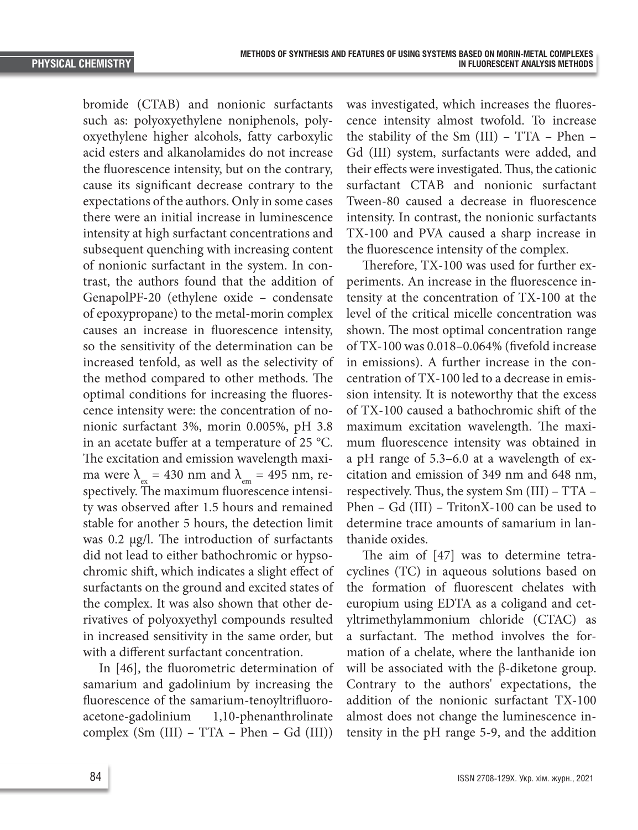bromide (CTAB) and nonionic surfactants such as: polyoxyethylene noniphenols, polyoxyethylene higher alcohols, fatty carboxylic acid esters and alkanolamides do not increase the fluorescence intensity, but on the contrary, cause its significant decrease contrary to the expectations of the authors. Only in some cases there were an initial increase in luminescence intensity at high surfactant concentrations and subsequent quenching with increasing content of nonionic surfactant in the system. In contrast, the authors found that the addition of GenapolPF-20 (ethylene oxide – condensate of epoxypropane) to the metal-morin complex causes an increase in fluorescence intensity, so the sensitivity of the determination can be increased tenfold, as well as the selectivity of the method compared to other methods. The optimal conditions for increasing the fluorescence intensity were: the concentration of nonionic surfactant 3%, morin 0.005%, pH 3.8 in an acetate buffer at a temperature of 25 °C. The excitation and emission wavelength maxima were  $\lambda_{\text{ex}} = 430$  nm and  $\lambda_{\text{em}} = 495$  nm, respectively. The maximum fluorescence intensity was observed after 1.5 hours and remained stable for another 5 hours, the detection limit was 0.2 µg/l. The introduction of surfactants did not lead to either bathochromic or hypsochromic shift, which indicates a slight effect of surfactants on the ground and excited states of the complex. It was also shown that other derivatives of polyoxyethyl compounds resulted in increased sensitivity in the same order, but with a different surfactant concentration.

In [46], the fluorometric determination of samarium and gadolinium by increasing the fluorescence of the samarium-tenoyltrifluoroacetone-gadolinium 1,10-phenanthrolinate complex (Sm (III) – TTA – Phen – Gd (III))

was investigated, which increases the fluorescence intensity almost twofold. To increase the stability of the Sm (III) – TTA – Phen – Gd (III) system, surfactants were added, and their effects were investigated. Thus, the cationic surfactant CTAB and nonionic surfactant Tween-80 caused a decrease in fluorescence intensity. In contrast, the nonionic surfactants TX-100 and PVA caused a sharp increase in the fluorescence intensity of the complex.

Therefore, TX-100 was used for further experiments. An increase in the fluorescence intensity at the concentration of TX-100 at the level of the critical micelle concentration was shown. The most optimal concentration range of TX-100 was 0.018–0.064% (fivefold increase in emissions). A further increase in the concentration of TX-100 led to a decrease in emission intensity. It is noteworthy that the excess of TX-100 caused a bathochromic shift of the maximum excitation wavelength. The maximum fluorescence intensity was obtained in a pH range of 5.3–6.0 at a wavelength of excitation and emission of 349 nm and 648 nm, respectively. Thus, the system Sm (III) – TTA – Phen – Gd (III) – TritonX-100 can be used to determine trace amounts of samarium in lanthanide oxides.

The aim of [47] was to determine tetracyclines (TC) in aqueous solutions based on the formation of fluorescent chelates with europium using EDTA as a coligand and cetyltrimethylammonium chloride (CTAC) as a surfactant. The method involves the formation of a chelate, where the lanthanide ion will be associated with the β-diketone group. Contrary to the authors' expectations, the addition of the nonionic surfactant TX-100 almost does not change the luminescence intensity in the pH range 5-9, and the addition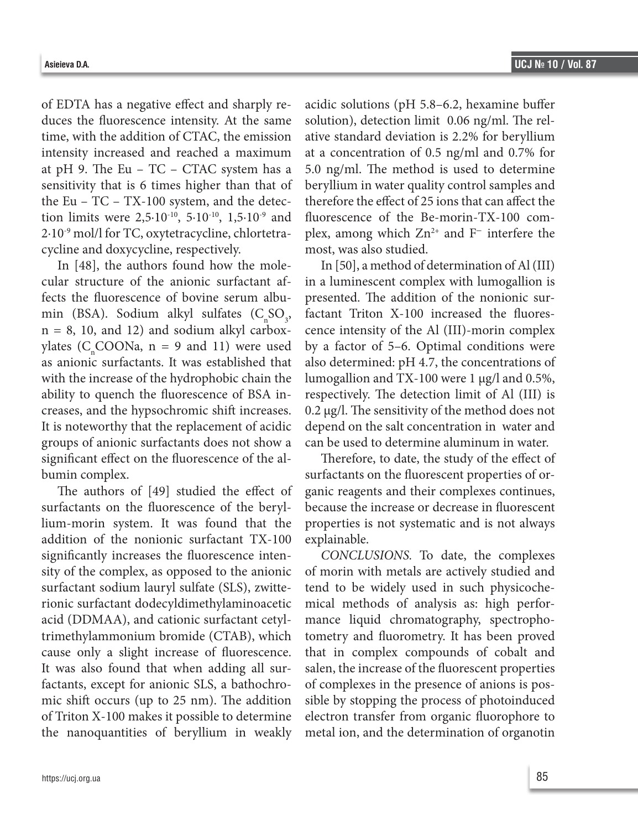of EDTA has a negative effect and sharply reduces the fluorescence intensity. At the same time, with the addition of CTAC, the emission intensity increased and reached a maximum at pH 9. The Eu – TC – CTAC system has a sensitivity that is 6 times higher than that of the Eu – TC – TX-100 system, and the detection limits were  $2,5.10^{-10}$ ,  $5.10^{-10}$ ,  $1,5.10^{-9}$  and 2·10-9 mol/l for TC, oxytetracycline, chlortetracycline and doxycycline, respectively.

In [48], the authors found how the molecular structure of the anionic surfactant affects the fluorescence of bovine serum albumin (BSA). Sodium alkyl sulfates  $(C_nSO_3,$  $n = 8$ , 10, and 12) and sodium alkyl carboxylates ( $C_n$ COONa, n = 9 and 11) were used as anionic surfactants. It was established that with the increase of the hydrophobic chain the ability to quench the fluorescence of BSA increases, and the hypsochromic shift increases. It is noteworthy that the replacement of acidic groups of anionic surfactants does not show a significant effect on the fluorescence of the albumin complex.

The authors of [49] studied the effect of surfactants on the fluorescence of the beryllium-morin system. It was found that the addition of the nonionic surfactant TX-100 significantly increases the fluorescence intensity of the complex, as opposed to the anionic surfactant sodium lauryl sulfate (SLS), zwitterionic surfactant dodecyldimethylaminoacetic acid (DDMAA), and cationic surfactant cetyltrimethylammonium bromide (CTAB), which cause only a slight increase of fluorescence. It was also found that when adding all surfactants, except for anionic SLS, a bathochromic shift occurs (up to 25 nm). The addition of Triton X-100 makes it possible to determine the nanoquantities of beryllium in weakly

acidic solutions (pH 5.8–6.2, hexamine buffer solution), detection limit 0.06 ng/ml. The relative standard deviation is 2.2% for beryllium at a concentration of 0.5 ng/ml and 0.7% for 5.0 ng/ml. The method is used to determine beryllium in water quality control samples and therefore the effect of 25 ions that can affect the fluorescence of the Be-morin-TX-100 complex, among which  $\rm Zn^{2+}$  and F<sup>−</sup> interfere the most, was also studied.

In [50], a method of determination of Al (III) in a luminescent complex with lumogallion is presented. The addition of the nonionic surfactant Triton X-100 increased the fluorescence intensity of the Al (III)-morin complex by a factor of 5–6. Optimal conditions were also determined: pH 4.7, the concentrations of lumogallion and TX-100 were 1 μg/l and 0.5%, respectively. The detection limit of Al (III) is 0.2 μg/l. The sensitivity of the method does not depend on the salt concentration in water and can be used to determine aluminum in water.

Therefore, to date, the study of the effect of surfactants on the fluorescent properties of organic reagents and their complexes continues, because the increase or decrease in fluorescent properties is not systematic and is not always explainable.

*CONCLUSIONS.* To date, the complexes of morin with metals are actively studied and tend to be widely used in such physicochemical methods of analysis as: high performance liquid chromatography, spectrophotometry and fluorometry. It has been proved that in complex compounds of cobalt and salen, the increase of the fluorescent properties of complexes in the presence of anions is possible by stopping the process of photoinduced electron transfer from organic fluorophore to metal ion, and the determination of organotin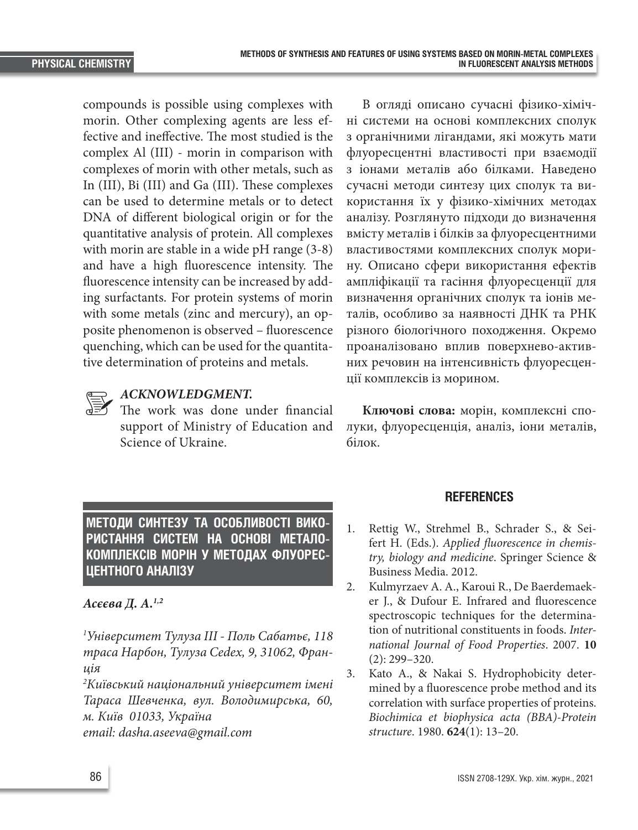compounds is possible using complexes with morin. Other complexing agents are less effective and ineffective. The most studied is the complex Al (III) - morin in comparison with complexes of morin with other metals, such as In (III), Bi (III) and Ga (III). These complexes can be used to determine metals or to detect DNA of different biological origin or for the quantitative analysis of protein. All complexes with morin are stable in a wide pH range (3-8) and have a high fluorescence intensity. The fluorescence intensity can be increased by adding surfactants. For protein systems of morin with some metals (zinc and mercury), an opposite phenomenon is observed – fluorescence quenching, which can be used for the quantitative determination of proteins and metals.

### *ACKNOWLEDGMENT.*

The work was done under financial support of Ministry of Education and Science of Ukraine.

В огляді описано сучасні фізико-хімічні системи на основі комплексних сполук з органічними лігандами, які можуть мати флуоресцентні властивості при взаємодії з іонами металів або білками. Наведено сучасні методи синтезу цих сполук та використання їх у фізико-хімічних методах аналізу. Розглянуто підходи до визначення вмісту металів і білків за флуоресцентними властивостями комплексних сполук морину. Описано сфери використання ефектів ампліфікації та гасіння флуоресценції для визначення органічних сполук та іонів металів, особливо за наявності ДНК та РНК різного біологічного походження. Окремо проаналізовано вплив поверхнево-активних речовин на інтенсивність флуоресценції комплексів із морином.

**Ключові слова:** морін, комплексні сполуки, флуоресценція, аналіз, іони металів, білок.

**МЕТОДИ СИНТЕЗУ ТА ОСОБЛИВОСТІ ВИКО-РИСТАННЯ СИСТЕМ НА ОСНОВІ МЕТАЛО-КОМПЛЕКСІВ МОРІН У МЕТОДАХ ФЛУОРЕС-ЦЕНТНОГО АНАЛІЗУ**

### *Асєєва Д. А.1,2*

*1 Університет Тулуза ІІІ - Поль Сабатьє, 118 траса Нарбон, Тулуза Сedex, 9, 31062, Франція*

*2 Київський національний університет імені Тараса Шевченка, вул. Володимирська, 60, м. Київ 01033, Україна email: dasha.aseeva@gmail.com*

## **REFERENCES**

- 1. Rettig W., Strehmel B., Schrader S., & Seifert H. (Eds.). *Applied fluorescence in chemistry, biology and medicine*. Springer Science & Business Media. 2012.
- 2. Kulmyrzaev A. A., Karoui R., De Baerdemaeker J., & Dufour E. Infrared and fluorescence spectroscopic techniques for the determination of nutritional constituents in foods. *International Journal of Food Properties*. 2007. **10**  (2): 299–320.
- 3. Kato A., & Nakai S. Hydrophobicity determined by a fluorescence probe method and its correlation with surface properties of proteins. *Biochimica et biophysica acta (BBA)-Protein structure*. 1980. **624**(1): 13–20.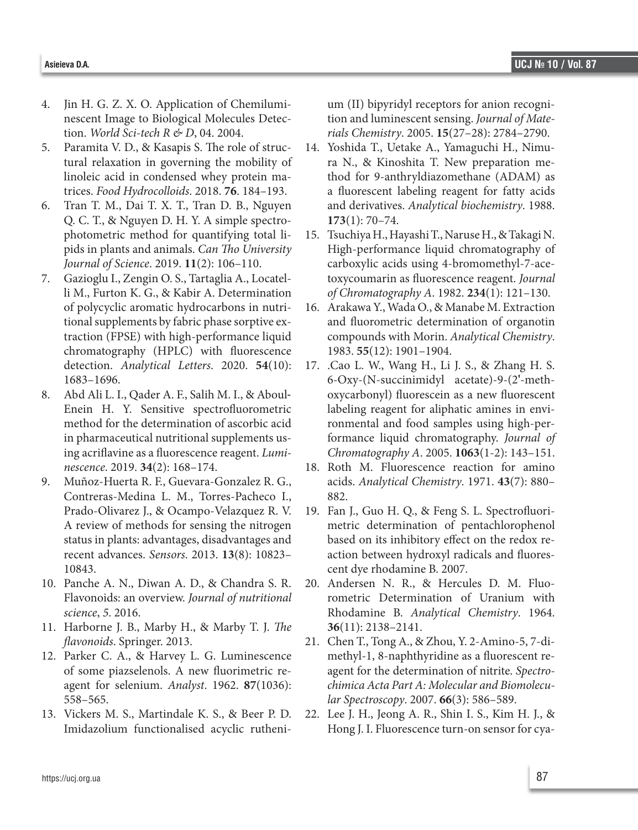- 4. Jin H. G. Z. X. O. Application of Chemiluminescent Image to Biological Molecules Detection. *World Sci-tech R & D*, 04. 2004.
- 5. Paramita V. D., & Kasapis S. The role of structural relaxation in governing the mobility of linoleic acid in condensed whey protein matrices. *Food Hydrocolloids*. 2018. **76**. 184–193.
- 6. Tran T. M., Dai T. X. T., Tran D. B., Nguyen Q. C. T., & Nguyen D. H. Y. A simple spectrophotometric method for quantifying total lipids in plants and animals. *Can Tho University Journal of Science*. 2019. **11**(2): 106–110.
- 7. Gazioglu I., Zengin O. S., Tartaglia A., Locatelli M., Furton K. G., & Kabir A. Determination of polycyclic aromatic hydrocarbons in nutritional supplements by fabric phase sorptive extraction (FPSE) with high-performance liquid chromatography (HPLC) with fluorescence detection. *Analytical Letters*. 2020. **54**(10): 1683–1696.
- 8. Abd Ali L. I., Qader A. F., Salih M. I., & Aboul‐ Enein H. Y. Sensitive spectrofluorometric method for the determination of ascorbic acid in pharmaceutical nutritional supplements using acriflavine as a fluorescence reagent. *Luminescence*. 2019. **34**(2): 168–174.
- 9. Muñoz-Huerta R. F., Guevara-Gonzalez R. G., Contreras-Medina L. M., Torres-Pacheco I., Prado-Olivarez J., & Ocampo-Velazquez R. V. A review of methods for sensing the nitrogen status in plants: advantages, disadvantages and recent advances. *Sensors*. 2013. **13**(8): 10823– 10843.
- 10. Panche A. N., Diwan A. D., & Chandra S. R. Flavonoids: an overview. *Journal of nutritional science*, *5*. 2016.
- 11. Harborne J. B., Marby H., & Marby T. J. *The flavonoids*. Springer. 2013.
- 12. Parker C. A., & Harvey L. G. Luminescence of some piazselenols. A new fluorimetric reagent for selenium. *Analyst*. 1962. **87**(1036): 558–565.
- 13. Vickers M. S., Martindale K. S., & Beer P. D. Imidazolium functionalised acyclic rutheni-

um (II) bipyridyl receptors for anion recognition and luminescent sensing. *Journal of Materials Chemistry*. 2005. **15**(27–28): 2784–2790.

- 14. Yoshida T., Uetake A., Yamaguchi H., Nimura N., & Kinoshita T. New preparation method for 9-anthryldiazomethane (ADAM) as a fluorescent labeling reagent for fatty acids and derivatives. *Analytical biochemistry*. 1988. **173**(1): 70–74.
- 15. Tsuchiya H., Hayashi T., Naruse H., & Takagi N. High-performance liquid chromatography of carboxylic acids using 4-bromomethyl-7-acetoxycoumarin as fluorescence reagent. *Journal of Chromatography A*. 1982. **234**(1): 121–130.
- 16. Arakawa Y., Wada O., & Manabe M. Extraction and fluorometric determination of organotin compounds with Morin. *Analytical Chemistry*. 1983. **55**(12): 1901–1904.
- 17. .Cao L. W., Wang H., Li J. S., & Zhang H. S. 6-Oxy-(N-succinimidyl acetate)-9-(2**'**-methoxycarbonyl) fluorescein as a new fluorescent labeling reagent for aliphatic amines in environmental and food samples using high-performance liquid chromatography. *Journal of Chromatography A*. 2005. **1063**(1-2): 143–151.
- 18. Roth M. Fluorescence reaction for amino acids. *Analytical Chemistry*. 1971. **43**(7): 880– 882.
- 19. Fan J., Guo H. Q., & Feng S. L. Spectrofluorimetric determination of pentachlorophenol based on its inhibitory effect on the redox reaction between hydroxyl radicals and fluorescent dye rhodamine B. 2007.
- 20. Andersen N. R., & Hercules D. M. Fluorometric Determination of Uranium with Rhodamine B. *Analytical Chemistry*. 1964. **36**(11): 2138–2141.
- 21. Chen T., Tong A., & Zhou, Y. 2-Amino-5, 7-dimethyl-1, 8-naphthyridine as a fluorescent reagent for the determination of nitrite. *Spectrochimica Acta Part A: Molecular and Biomolecular Spectroscopy*. 2007. **66**(3): 586–589.
- 22. Lee J. H., Jeong A. R., Shin I. S., Kim H. J., & Hong J. I. Fluorescence turn-on sensor for cya-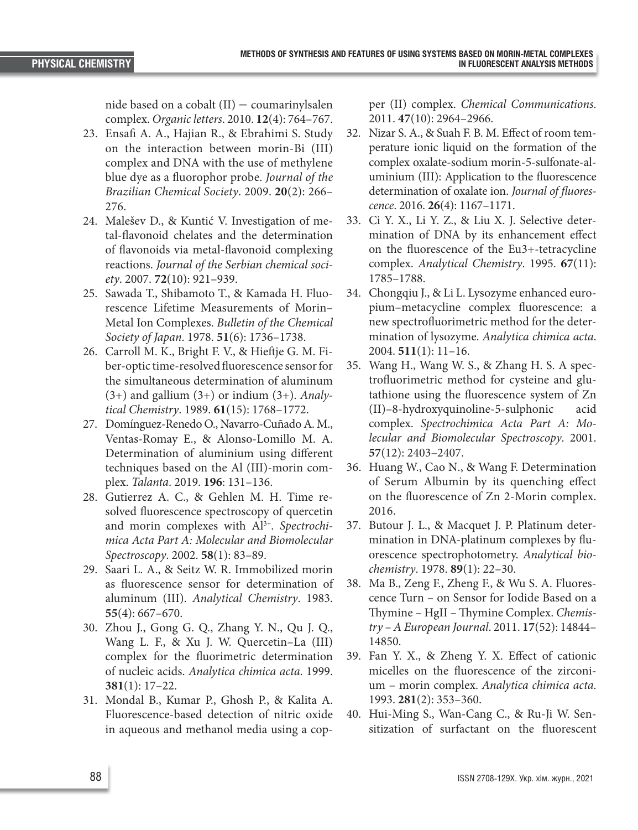nide based on a cobalt (II) − coumarinylsalen complex. *Organic letters*. 2010. **12**(4): 764–767.

- 23. Ensafi A. A., Hajian R., & Ebrahimi S. Study on the interaction between morin-Bi (III) complex and DNA with the use of methylene blue dye as a fluorophor probe. *Journal of the Brazilian Chemical Society*. 2009. **20**(2): 266– 276.
- 24. Malešev D., & Kuntić V. Investigation of metal-flavonoid chelates and the determination of flavonoids via metal-flavonoid complexing reactions. *Journal of the Serbian chemical society*. 2007. **72**(10): 921–939.
- 25. Sawada T., Shibamoto T., & Kamada H. Fluorescence Lifetime Measurements of Morin– Metal Ion Complexes. *Bulletin of the Chemical Society of Japan*. 1978. **51**(6): 1736–1738.
- 26. Carroll M. K., Bright F. V., & Hieftje G. M. Fiber-optic time-resolved fluorescence sensor for the simultaneous determination of aluminum (3+) and gallium (3+) or indium (3+). *Analytical Chemistry*. 1989. **61**(15): 1768–1772.
- 27. Domínguez-Renedo O., Navarro-Cuñado A. M., Ventas-Romay E., & Alonso-Lomillo M. A. Determination of aluminium using different techniques based on the Al (III)-morin complex. *Talanta*. 2019. **196**: 131–136.
- 28. Gutierrez A. C., & Gehlen M. H. Time resolved fluorescence spectroscopy of quercetin and morin complexes with Al<sup>3+</sup>. Spectrochi*mica Acta Part A: Molecular and Biomolecular Spectroscopy*. 2002. **58**(1): 83–89.
- 29. Saari L. A., & Seitz W. R. Immobilized morin as fluorescence sensor for determination of aluminum (III). *Analytical Chemistry*. 1983. **55**(4): 667–670.
- 30. Zhou J., Gong G. Q., Zhang Y. N., Qu J. Q., Wang L. F., & Xu J. W. Quercetin–La (III) complex for the fluorimetric determination of nucleic acids. *Analytica chimica acta*. 1999. **381**(1): 17–22.
- 31. Mondal B., Kumar P., Ghosh P., & Kalita A. Fluorescence-based detection of nitric oxide in aqueous and methanol media using a cop-

per (II) complex. *Chemical Communications*. 2011. **47**(10): 2964–2966.

- 32. Nizar S. A., & Suah F. B. M. Effect of room temperature ionic liquid on the formation of the complex oxalate-sodium morin-5-sulfonate-aluminium (III): Application to the fluorescence determination of oxalate ion. *Journal of fluorescence*. 2016. **26**(4): 1167–1171.
- 33. Ci Y. X., Li Y. Z., & Liu X. J. Selective determination of DNA by its enhancement effect on the fluorescence of the Eu3+-tetracycline complex. *Analytical Chemistry*. 1995. **67**(11): 1785–1788.
- 34. Chongqiu J., & Li L. Lysozyme enhanced europium–metacycline complex fluorescence: a new spectrofluorimetric method for the determination of lysozyme. *Analytica chimica acta*. 2004. **511**(1): 11–16.
- 35. Wang H., Wang W. S., & Zhang H. S. A spectrofluorimetric method for cysteine and glutathione using the fluorescence system of Zn (II)–8-hydroxyquinoline-5-sulphonic acid complex. *Spectrochimica Acta Part A: Molecular and Biomolecular Spectroscopy*. 2001. **57**(12): 2403–2407.
- 36. Huang W., Cao N., & Wang F. Determination of Serum Albumin by its quenching effect on the fluorescence of Zn 2-Morin complex. 2016.
- 37. Butour J. L., & Macquet J. P. Platinum determination in DNA-platinum complexes by fluorescence spectrophotometry. *Analytical biochemistry*. 1978. **89**(1): 22–30.
- 38. Ma B., Zeng F., Zheng F., & Wu S. A. Fluorescence Turn – on Sensor for Iodide Based on a Thymine – HgII – Thymine Complex. *Chemistry – A European Journal*. 2011. **17**(52): 14844– 14850.
- 39. Fan Y. X., & Zheng Y. X. Effect of cationic micelles on the fluorescence of the zirconium – morin complex. *Analytica chimica acta*. 1993. **281**(2): 353–360.
- 40. Hui‐Ming S., Wan‐Cang C., & Ru‐Ji W. Sensitization of surfactant on the fluorescent